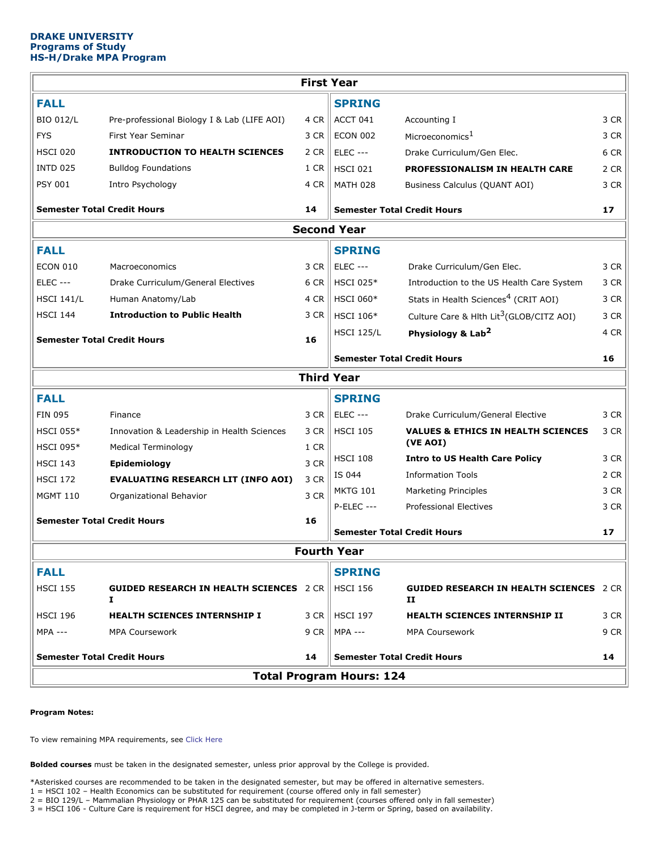# **DRAKE UNIVERSITY Programs of Study HS-H/Drake MPA Program**

| <b>First Year</b>                        |                                                         |      |                                    |                                                                |      |
|------------------------------------------|---------------------------------------------------------|------|------------------------------------|----------------------------------------------------------------|------|
| <b>FALL</b>                              |                                                         |      | <b>SPRING</b>                      |                                                                |      |
| <b>BIO 012/L</b>                         | Pre-professional Biology I & Lab (LIFE AOI)             | 4 CR | ACCT 041                           | Accounting I                                                   | 3 CR |
| <b>FYS</b>                               | First Year Seminar                                      | 3 CR | <b>ECON 002</b>                    | Microeconomics <sup>1</sup>                                    | 3 CR |
| <b>HSCI 020</b>                          | <b>INTRODUCTION TO HEALTH SCIENCES</b>                  | 2 CR | <b>ELEC ---</b>                    | Drake Curriculum/Gen Elec.                                     | 6 CR |
| <b>INTD 025</b>                          | <b>Bulldog Foundations</b>                              | 1 CR | <b>HSCI 021</b>                    | PROFESSIONALISM IN HEALTH CARE                                 | 2 CR |
| <b>PSY 001</b>                           | Intro Psychology                                        | 4 CR | <b>MATH 028</b>                    | Business Calculus (QUANT AOI)                                  | 3 CR |
| <b>Semester Total Credit Hours</b><br>14 |                                                         |      | <b>Semester Total Credit Hours</b> |                                                                | 17   |
| <b>Second Year</b>                       |                                                         |      |                                    |                                                                |      |
| <b>FALL</b>                              |                                                         |      | <b>SPRING</b>                      |                                                                |      |
| <b>ECON 010</b>                          | Macroeconomics                                          | 3 CR | <b>ELEC ---</b>                    | Drake Curriculum/Gen Elec.                                     | 3 CR |
| <b>ELEC ---</b>                          | Drake Curriculum/General Electives                      | 6 CR | <b>HSCI 025*</b>                   | Introduction to the US Health Care System                      | 3 CR |
| <b>HSCI 141/L</b>                        | Human Anatomy/Lab                                       | 4 CR | <b>HSCI 060*</b>                   | Stats in Health Sciences <sup>4</sup> (CRIT AOI)               | 3 CR |
| <b>HSCI 144</b>                          | <b>Introduction to Public Health</b>                    | 3 CR | <b>HSCI 106*</b>                   | Culture Care & Hith Lit <sup>3</sup> (GLOB/CITZ AOI)           | 3 CR |
| <b>Semester Total Credit Hours</b>       |                                                         | 16   | <b>HSCI 125/L</b>                  | Physiology & Lab <sup>2</sup>                                  | 4 CR |
|                                          |                                                         |      | <b>Semester Total Credit Hours</b> |                                                                | 16   |
| <b>Third Year</b>                        |                                                         |      |                                    |                                                                |      |
| <b>FALL</b>                              |                                                         |      | <b>SPRING</b>                      |                                                                |      |
| <b>FIN 095</b>                           | Finance                                                 | 3 CR | <b>ELEC ---</b>                    | Drake Curriculum/General Elective                              | 3 CR |
| <b>HSCI 055*</b>                         | Innovation & Leadership in Health Sciences              | 3 CR | <b>HSCI 105</b>                    | <b>VALUES &amp; ETHICS IN HEALTH SCIENCES</b>                  | 3 CR |
| <b>HSCI 095*</b>                         | Medical Terminology                                     | 1 CR |                                    | (VE AOI)                                                       |      |
| <b>HSCI 143</b>                          | Epidemiology                                            | 3 CR | <b>HSCI 108</b>                    | <b>Intro to US Health Care Policy</b>                          | 3 CR |
| <b>HSCI 172</b>                          | <b>EVALUATING RESEARCH LIT (INFO AOI)</b>               | 3 CR | IS 044                             | <b>Information Tools</b>                                       | 2 CR |
| <b>MGMT 110</b>                          | Organizational Behavior                                 | 3 CR | <b>MKTG 101</b>                    | Marketing Principles                                           | 3 CR |
|                                          |                                                         |      | <b>P-ELEC ---</b>                  | <b>Professional Electives</b>                                  | 3 CR |
| <b>Semester Total Credit Hours</b>       |                                                         | 16   | <b>Semester Total Credit Hours</b> |                                                                | 17   |
| <b>Fourth Year</b>                       |                                                         |      |                                    |                                                                |      |
| <b>FALL</b>                              |                                                         |      | <b>SPRING</b>                      |                                                                |      |
| <b>HSCI 155</b>                          | <b>GUIDED RESEARCH IN HEALTH SCIENCES</b> 2 CR   <br>I. |      | <b>HSCI 156</b>                    | <b>GUIDED RESEARCH IN HEALTH SCIENCES</b> 2 CR<br>$\mathbf{H}$ |      |
| <b>HSCI 196</b>                          | <b>HEALTH SCIENCES INTERNSHIP I</b>                     |      | 3 CR    HSCI 197                   | HEALTH SCIENCES INTERNSHIP II                                  | 3 CR |
| <b>MPA ---</b>                           | <b>MPA Coursework</b>                                   | 9 CR | <b>MPA ---</b>                     | <b>MPA Coursework</b>                                          | 9 CR |
| <b>Semester Total Credit Hours</b>       |                                                         | 14   | <b>Semester Total Credit Hours</b> |                                                                | 14   |
| <b>Total Program Hours: 124</b>          |                                                         |      |                                    |                                                                |      |
|                                          |                                                         |      |                                    |                                                                |      |

## **Program Notes:**

To view remaining MPA requirements, see Click [Here](https://www.drake.edu/mpa/overview/curriculum/)

**Bolded courses** must be taken in the designated semester, unless prior approval by the College is provided.

\*Asterisked courses are recommended to be taken in the designated semester, but may be offered in alternative semesters.

1 = HSCI 102 – Health Economics can be substituted for requirement (course offered only in fall semester)

2 = BIO 129/L – Mammalian Physiology or PHAR 125 can be substituted for requirement (courses offered only in fall semester)

3 = HSCI 106 - Culture Care is requirement for HSCI degree, and may be completed in J-term or Spring, based on availability.